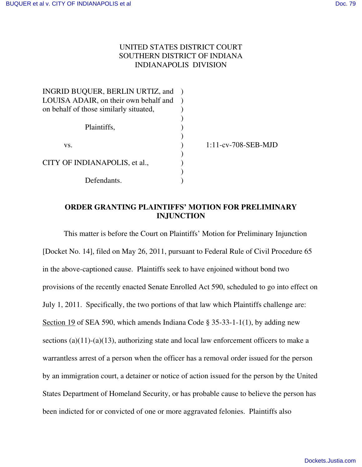# UNITED STATES DISTRICT COURT SOUTHERN DISTRICT OF INDIANA INDIANAPOLIS DIVISION

| INGRID BUQUER, BERLIN URTIZ, and       |                        |
|----------------------------------------|------------------------|
| LOUISA ADAIR, on their own behalf and  |                        |
| on behalf of those similarly situated, |                        |
|                                        |                        |
| Plaintiffs,                            |                        |
|                                        |                        |
| VS.                                    | $1:11$ -cv-708-SEB-MJD |
|                                        |                        |
| CITY OF INDIANAPOLIS, et al.,          |                        |
|                                        |                        |
| Defendants                             |                        |

# **ORDER GRANTING PLAINTIFFS' MOTION FOR PRELIMINARY INJUNCTION**

This matter is before the Court on Plaintiffs' Motion for Preliminary Injunction [Docket No. 14], filed on May 26, 2011, pursuant to Federal Rule of Civil Procedure 65 in the above-captioned cause. Plaintiffs seek to have enjoined without bond two provisions of the recently enacted Senate Enrolled Act 590, scheduled to go into effect on July 1, 2011. Specifically, the two portions of that law which Plaintiffs challenge are: Section 19 of SEA 590, which amends Indiana Code  $\S 35-33-1-1(1)$ , by adding new sections  $(a)(11)-(a)(13)$ , authorizing state and local law enforcement officers to make a warrantless arrest of a person when the officer has a removal order issued for the person by an immigration court, a detainer or notice of action issued for the person by the United States Department of Homeland Security, or has probable cause to believe the person has been indicted for or convicted of one or more aggravated felonies. Plaintiffs also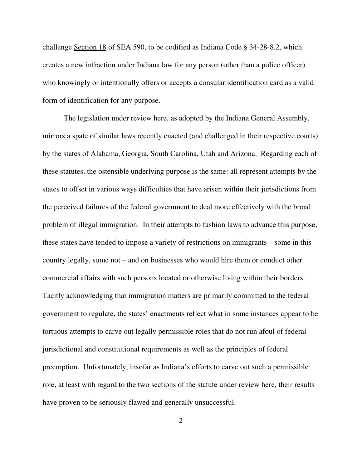challenge Section 18 of SEA 590, to be codified as Indiana Code § 34-28-8.2, which creates a new infraction under Indiana law for any person (other than a police officer) who knowingly or intentionally offers or accepts a consular identification card as a valid form of identification for any purpose.

The legislation under review here, as adopted by the Indiana General Assembly, mirrors a spate of similar laws recently enacted (and challenged in their respective courts) by the states of Alabama, Georgia, South Carolina, Utah and Arizona. Regarding each of these statutes, the ostensible underlying purpose is the same: all represent attempts by the states to offset in various ways difficulties that have arisen within their jurisdictions from the perceived failures of the federal government to deal more effectively with the broad problem of illegal immigration. In their attempts to fashion laws to advance this purpose, these states have tended to impose a variety of restrictions on immigrants – some in this country legally, some not – and on businesses who would hire them or conduct other commercial affairs with such persons located or otherwise living within their borders. Tacitly acknowledging that immigration matters are primarily committed to the federal government to regulate, the states' enactments reflect what in some instances appear to be tortuous attempts to carve out legally permissible roles that do not run afoul of federal jurisdictional and constitutional requirements as well as the principles of federal preemption. Unfortunately, insofar as Indiana's efforts to carve out such a permissible role, at least with regard to the two sections of the statute under review here, their results have proven to be seriously flawed and generally unsuccessful.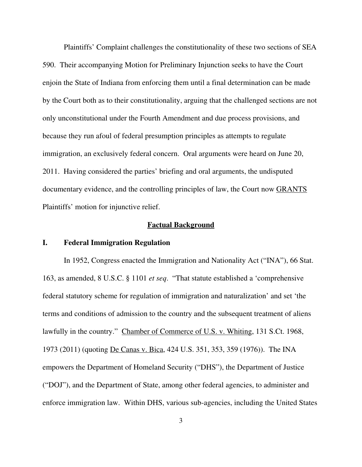Plaintiffs' Complaint challenges the constitutionality of these two sections of SEA 590. Their accompanying Motion for Preliminary Injunction seeks to have the Court enjoin the State of Indiana from enforcing them until a final determination can be made by the Court both as to their constitutionality, arguing that the challenged sections are not only unconstitutional under the Fourth Amendment and due process provisions, and because they run afoul of federal presumption principles as attempts to regulate immigration, an exclusively federal concern. Oral arguments were heard on June 20, 2011. Having considered the parties' briefing and oral arguments, the undisputed documentary evidence, and the controlling principles of law, the Court now GRANTS Plaintiffs' motion for injunctive relief.

### **Factual Background**

# **I. Federal Immigration Regulation**

In 1952, Congress enacted the Immigration and Nationality Act ("INA"), 66 Stat. 163, as amended, 8 U.S.C. § 1101 *et seq*. "That statute established a 'comprehensive federal statutory scheme for regulation of immigration and naturalization' and set 'the terms and conditions of admission to the country and the subsequent treatment of aliens lawfully in the country." Chamber of Commerce of U.S. v. Whiting, 131 S.Ct. 1968, 1973 (2011) (quoting De Canas v. Bica, 424 U.S. 351, 353, 359 (1976)). The INA empowers the Department of Homeland Security ("DHS"), the Department of Justice ("DOJ"), and the Department of State, among other federal agencies, to administer and enforce immigration law. Within DHS, various sub-agencies, including the United States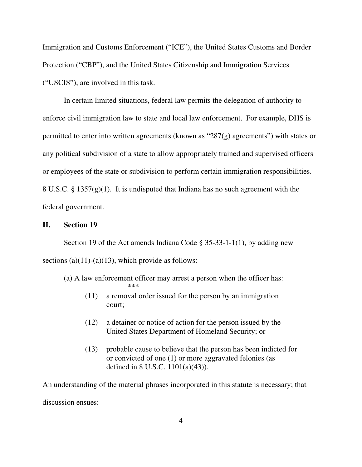Immigration and Customs Enforcement ("ICE"), the United States Customs and Border Protection ("CBP"), and the United States Citizenship and Immigration Services ("USCIS"), are involved in this task.

In certain limited situations, federal law permits the delegation of authority to enforce civil immigration law to state and local law enforcement. For example, DHS is permitted to enter into written agreements (known as " $287(g)$  agreements") with states or any political subdivision of a state to allow appropriately trained and supervised officers or employees of the state or subdivision to perform certain immigration responsibilities. 8 U.S.C. § 1357(g)(1). It is undisputed that Indiana has no such agreement with the federal government.

## **II. Section 19**

Section 19 of the Act amends Indiana Code  $\S 35-33-1-1(1)$ , by adding new sections (a)(11)-(a)(13), which provide as follows:

#### (a) A law enforcement officer may arrest a person when the officer has: \*\*\*

- (11) a removal order issued for the person by an immigration court;
- (12) a detainer or notice of action for the person issued by the United States Department of Homeland Security; or
- (13) probable cause to believe that the person has been indicted for or convicted of one (1) or more aggravated felonies (as defined in 8 U.S.C. 1101(a)(43)).

An understanding of the material phrases incorporated in this statute is necessary; that discussion ensues: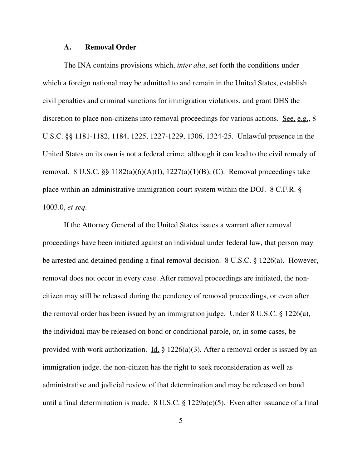#### **A. Removal Order**

The INA contains provisions which, *inter alia*, set forth the conditions under which a foreign national may be admitted to and remain in the United States, establish civil penalties and criminal sanctions for immigration violations, and grant DHS the discretion to place non-citizens into removal proceedings for various actions. See, e.g., 8 U.S.C. §§ 1181-1182, 1184, 1225, 1227-1229, 1306, 1324-25. Unlawful presence in the United States on its own is not a federal crime, although it can lead to the civil remedy of removal. 8 U.S.C.  $\S\S 1182(a)(6)(A)(I)$ ,  $1227(a)(1)(B)$ , (C). Removal proceedings take place within an administrative immigration court system within the DOJ. 8 C.F.R. § 1003.0, *et seq*.

If the Attorney General of the United States issues a warrant after removal proceedings have been initiated against an individual under federal law, that person may be arrested and detained pending a final removal decision. 8 U.S.C. § 1226(a). However, removal does not occur in every case. After removal proceedings are initiated, the noncitizen may still be released during the pendency of removal proceedings, or even after the removal order has been issued by an immigration judge. Under 8 U.S.C. § 1226(a), the individual may be released on bond or conditional parole, or, in some cases, be provided with work authorization. Id.  $\S 1226(a)(3)$ . After a removal order is issued by an immigration judge, the non-citizen has the right to seek reconsideration as well as administrative and judicial review of that determination and may be released on bond until a final determination is made. 8 U.S.C. § 1229a(c)(5). Even after issuance of a final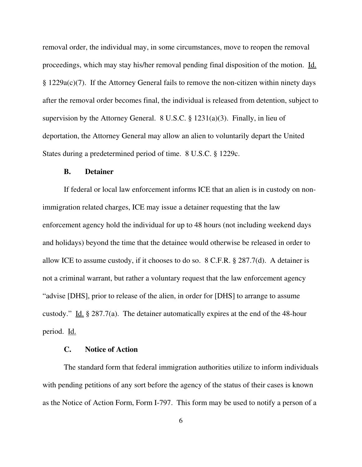removal order, the individual may, in some circumstances, move to reopen the removal proceedings, which may stay his/her removal pending final disposition of the motion. Id. § 1229a(c)(7). If the Attorney General fails to remove the non-citizen within ninety days after the removal order becomes final, the individual is released from detention, subject to supervision by the Attorney General. 8 U.S.C. § 1231(a)(3). Finally, in lieu of deportation, the Attorney General may allow an alien to voluntarily depart the United States during a predetermined period of time. 8 U.S.C. § 1229c.

#### **B. Detainer**

If federal or local law enforcement informs ICE that an alien is in custody on nonimmigration related charges, ICE may issue a detainer requesting that the law enforcement agency hold the individual for up to 48 hours (not including weekend days and holidays) beyond the time that the detainee would otherwise be released in order to allow ICE to assume custody, if it chooses to do so. 8 C.F.R. § 287.7(d). A detainer is not a criminal warrant, but rather a voluntary request that the law enforcement agency "advise [DHS], prior to release of the alien, in order for [DHS] to arrange to assume custody." Id.  $\S 287.7(a)$ . The detainer automatically expires at the end of the 48-hour period. Id.

#### **C. Notice of Action**

The standard form that federal immigration authorities utilize to inform individuals with pending petitions of any sort before the agency of the status of their cases is known as the Notice of Action Form, Form I-797. This form may be used to notify a person of a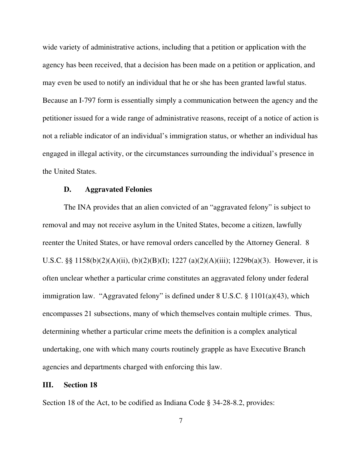wide variety of administrative actions, including that a petition or application with the agency has been received, that a decision has been made on a petition or application, and may even be used to notify an individual that he or she has been granted lawful status. Because an I-797 form is essentially simply a communication between the agency and the petitioner issued for a wide range of administrative reasons, receipt of a notice of action is not a reliable indicator of an individual's immigration status, or whether an individual has engaged in illegal activity, or the circumstances surrounding the individual's presence in the United States.

#### **D. Aggravated Felonies**

The INA provides that an alien convicted of an "aggravated felony" is subject to removal and may not receive asylum in the United States, become a citizen, lawfully reenter the United States, or have removal orders cancelled by the Attorney General. 8 U.S.C. §§ 1158(b)(2)(A)(ii), (b)(2)(B)(I); 1227 (a)(2)(A)(iii); 1229b(a)(3). However, it is often unclear whether a particular crime constitutes an aggravated felony under federal immigration law. "Aggravated felony" is defined under 8 U.S.C. § 1101(a)(43), which encompasses 21 subsections, many of which themselves contain multiple crimes. Thus, determining whether a particular crime meets the definition is a complex analytical undertaking, one with which many courts routinely grapple as have Executive Branch agencies and departments charged with enforcing this law.

#### **III. Section 18**

Section 18 of the Act, to be codified as Indiana Code § 34-28-8.2, provides: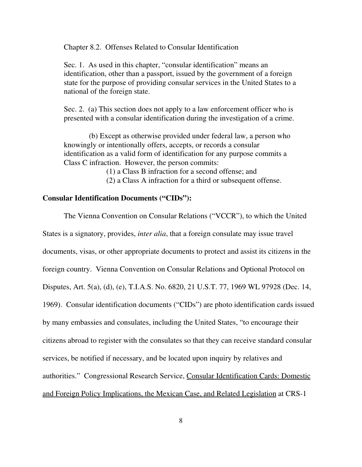Chapter 8.2. Offenses Related to Consular Identification

Sec. 1. As used in this chapter, "consular identification" means an identification, other than a passport, issued by the government of a foreign state for the purpose of providing consular services in the United States to a national of the foreign state.

Sec. 2. (a) This section does not apply to a law enforcement officer who is presented with a consular identification during the investigation of a crime.

 (b) Except as otherwise provided under federal law, a person who knowingly or intentionally offers, accepts, or records a consular identification as a valid form of identification for any purpose commits a Class C infraction. However, the person commits:

(1) a Class B infraction for a second offense; and

(2) a Class A infraction for a third or subsequent offense.

### **Consular Identification Documents ("CIDs"):**

The Vienna Convention on Consular Relations ("VCCR"), to which the United States is a signatory, provides, *inter alia*, that a foreign consulate may issue travel documents, visas, or other appropriate documents to protect and assist its citizens in the foreign country. Vienna Convention on Consular Relations and Optional Protocol on Disputes, Art. 5(a), (d), (e), T.I.A.S. No. 6820, 21 U.S.T. 77, 1969 WL 97928 (Dec. 14, 1969). Consular identification documents ("CIDs") are photo identification cards issued by many embassies and consulates, including the United States, "to encourage their citizens abroad to register with the consulates so that they can receive standard consular services, be notified if necessary, and be located upon inquiry by relatives and authorities." Congressional Research Service, Consular Identification Cards: Domestic and Foreign Policy Implications, the Mexican Case, and Related Legislation at CRS-1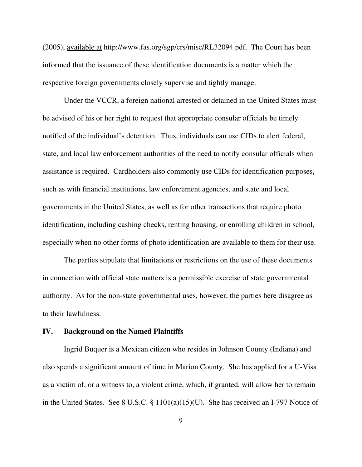(2005), available at http://www.fas.org/sgp/crs/misc/RL32094.pdf. The Court has been informed that the issuance of these identification documents is a matter which the respective foreign governments closely supervise and tightly manage.

Under the VCCR, a foreign national arrested or detained in the United States must be advised of his or her right to request that appropriate consular officials be timely notified of the individual's detention. Thus, individuals can use CIDs to alert federal, state, and local law enforcement authorities of the need to notify consular officials when assistance is required. Cardholders also commonly use CIDs for identification purposes, such as with financial institutions, law enforcement agencies, and state and local governments in the United States, as well as for other transactions that require photo identification, including cashing checks, renting housing, or enrolling children in school, especially when no other forms of photo identification are available to them for their use.

The parties stipulate that limitations or restrictions on the use of these documents in connection with official state matters is a permissible exercise of state governmental authority. As for the non-state governmental uses, however, the parties here disagree as to their lawfulness.

#### **IV. Background on the Named Plaintiffs**

Ingrid Buquer is a Mexican citizen who resides in Johnson County (Indiana) and also spends a significant amount of time in Marion County. She has applied for a U-Visa as a victim of, or a witness to, a violent crime, which, if granted, will allow her to remain in the United States. See 8 U.S.C. § 1101(a)(15)(U). She has received an I-797 Notice of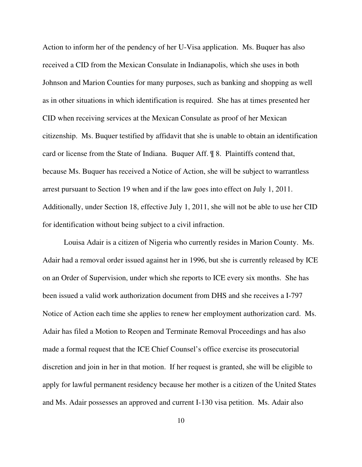Action to inform her of the pendency of her U-Visa application. Ms. Buquer has also received a CID from the Mexican Consulate in Indianapolis, which she uses in both Johnson and Marion Counties for many purposes, such as banking and shopping as well as in other situations in which identification is required. She has at times presented her CID when receiving services at the Mexican Consulate as proof of her Mexican citizenship. Ms. Buquer testified by affidavit that she is unable to obtain an identification card or license from the State of Indiana. Buquer Aff. ¶ 8. Plaintiffs contend that, because Ms. Buquer has received a Notice of Action, she will be subject to warrantless arrest pursuant to Section 19 when and if the law goes into effect on July 1, 2011. Additionally, under Section 18, effective July 1, 2011, she will not be able to use her CID for identification without being subject to a civil infraction.

Louisa Adair is a citizen of Nigeria who currently resides in Marion County. Ms. Adair had a removal order issued against her in 1996, but she is currently released by ICE on an Order of Supervision, under which she reports to ICE every six months. She has been issued a valid work authorization document from DHS and she receives a I-797 Notice of Action each time she applies to renew her employment authorization card. Ms. Adair has filed a Motion to Reopen and Terminate Removal Proceedings and has also made a formal request that the ICE Chief Counsel's office exercise its prosecutorial discretion and join in her in that motion. If her request is granted, she will be eligible to apply for lawful permanent residency because her mother is a citizen of the United States and Ms. Adair possesses an approved and current I-130 visa petition. Ms. Adair also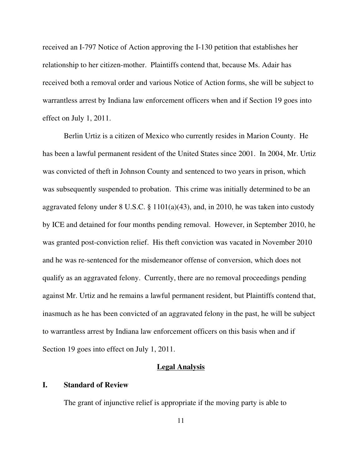received an I-797 Notice of Action approving the I-130 petition that establishes her relationship to her citizen-mother. Plaintiffs contend that, because Ms. Adair has received both a removal order and various Notice of Action forms, she will be subject to warrantless arrest by Indiana law enforcement officers when and if Section 19 goes into effect on July 1, 2011.

Berlin Urtiz is a citizen of Mexico who currently resides in Marion County. He has been a lawful permanent resident of the United States since 2001. In 2004, Mr. Urtiz was convicted of theft in Johnson County and sentenced to two years in prison, which was subsequently suspended to probation. This crime was initially determined to be an aggravated felony under 8 U.S.C. § 1101(a)(43), and, in 2010, he was taken into custody by ICE and detained for four months pending removal. However, in September 2010, he was granted post-conviction relief. His theft conviction was vacated in November 2010 and he was re-sentenced for the misdemeanor offense of conversion, which does not qualify as an aggravated felony. Currently, there are no removal proceedings pending against Mr. Urtiz and he remains a lawful permanent resident, but Plaintiffs contend that, inasmuch as he has been convicted of an aggravated felony in the past, he will be subject to warrantless arrest by Indiana law enforcement officers on this basis when and if Section 19 goes into effect on July 1, 2011.

## **Legal Analysis**

### **I. Standard of Review**

The grant of injunctive relief is appropriate if the moving party is able to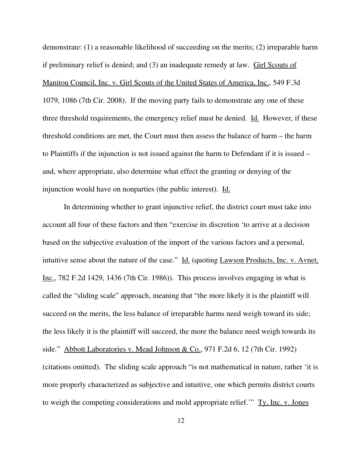demonstrate: (1) a reasonable likelihood of succeeding on the merits; (2) irreparable harm if preliminary relief is denied; and (3) an inadequate remedy at law. Girl Scouts of Manitou Council, Inc. v. Girl Scouts of the United States of America, Inc., 549 F.3d 1079, 1086 (7th Cir. 2008). If the moving party fails to demonstrate any one of these three threshold requirements, the emergency relief must be denied. Id. However, if these threshold conditions are met, the Court must then assess the balance of harm – the harm to Plaintiffs if the injunction is not issued against the harm to Defendant if it is issued – and, where appropriate, also determine what effect the granting or denying of the injunction would have on nonparties (the public interest). Id.

In determining whether to grant injunctive relief, the district court must take into account all four of these factors and then "exercise its discretion 'to arrive at a decision based on the subjective evaluation of the import of the various factors and a personal, intuitive sense about the nature of the case." Id. (quoting Lawson Products, Inc. v. Avnet, Inc., 782 F.2d 1429, 1436 (7th Cir. 1986)). This process involves engaging in what is called the "sliding scale" approach, meaning that "the more likely it is the plaintiff will succeed on the merits, the less balance of irreparable harms need weigh toward its side; the less likely it is the plaintiff will succeed, the more the balance need weigh towards its side." Abbott Laboratories v. Mead Johnson & Co., 971 F.2d 6, 12 (7th Cir. 1992) (citations omitted). The sliding scale approach "is not mathematical in nature, rather 'it is more properly characterized as subjective and intuitive, one which permits district courts to weigh the competing considerations and mold appropriate relief.'" Ty, Inc. v. Jones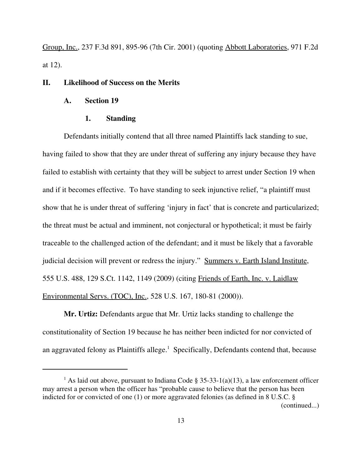Group, Inc., 237 F.3d 891, 895-96 (7th Cir. 2001) (quoting Abbott Laboratories, 971 F.2d at 12).

#### **II. Likelihood of Success on the Merits**

#### **A. Section 19**

### **1. Standing**

Defendants initially contend that all three named Plaintiffs lack standing to sue, having failed to show that they are under threat of suffering any injury because they have failed to establish with certainty that they will be subject to arrest under Section 19 when and if it becomes effective. To have standing to seek injunctive relief, "a plaintiff must show that he is under threat of suffering 'injury in fact' that is concrete and particularized; the threat must be actual and imminent, not conjectural or hypothetical; it must be fairly traceable to the challenged action of the defendant; and it must be likely that a favorable judicial decision will prevent or redress the injury." Summers v. Earth Island Institute, 555 U.S. 488, 129 S.Ct. 1142, 1149 (2009) (citing Friends of Earth, Inc. v. Laidlaw Environmental Servs. (TOC), Inc., 528 U.S. 167, 180-81 (2000)).

**Mr. Urtiz:** Defendants argue that Mr. Urtiz lacks standing to challenge the constitutionality of Section 19 because he has neither been indicted for nor convicted of an aggravated felony as Plaintiffs allege.<sup>1</sup> Specifically, Defendants contend that, because

<sup>&</sup>lt;sup>1</sup> As laid out above, pursuant to Indiana Code § 35-33-1(a)(13), a law enforcement officer may arrest a person when the officer has "probable cause to believe that the person has been indicted for or convicted of one (1) or more aggravated felonies (as defined in 8 U.S.C. § (continued...)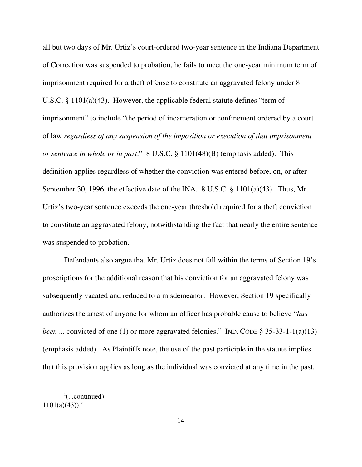all but two days of Mr. Urtiz's court-ordered two-year sentence in the Indiana Department of Correction was suspended to probation, he fails to meet the one-year minimum term of imprisonment required for a theft offense to constitute an aggravated felony under 8 U.S.C. § 1101(a)(43). However, the applicable federal statute defines "term of imprisonment" to include "the period of incarceration or confinement ordered by a court of law *regardless of any suspension of the imposition or execution of that imprisonment or sentence in whole or in part*." 8 U.S.C. § 1101(48)(B) (emphasis added). This definition applies regardless of whether the conviction was entered before, on, or after September 30, 1996, the effective date of the INA. 8 U.S.C. § 1101(a)(43). Thus, Mr. Urtiz's two-year sentence exceeds the one-year threshold required for a theft conviction to constitute an aggravated felony, notwithstanding the fact that nearly the entire sentence was suspended to probation.

Defendants also argue that Mr. Urtiz does not fall within the terms of Section 19's proscriptions for the additional reason that his conviction for an aggravated felony was subsequently vacated and reduced to a misdemeanor. However, Section 19 specifically authorizes the arrest of anyone for whom an officer has probable cause to believe "*has been* ... convicted of one (1) or more aggravated felonies." IND. CODE § 35-33-1-1(a)(13) (emphasis added). As Plaintiffs note, the use of the past participle in the statute implies that this provision applies as long as the individual was convicted at any time in the past.

 $\frac{1}{2}$ (...continued)  $1101(a)(43)$ ."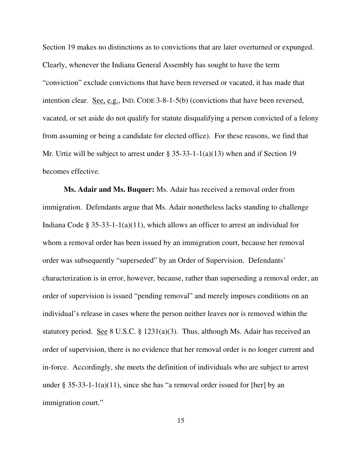Section 19 makes no distinctions as to convictions that are later overturned or expunged. Clearly, whenever the Indiana General Assembly has sought to have the term "conviction" exclude convictions that have been reversed or vacated, it has made that intention clear. See, e.g., IND. CODE 3-8-1-5(b) (convictions that have been reversed, vacated, or set aside do not qualify for statute disqualifying a person convicted of a felony from assuming or being a candidate for elected office). For these reasons, we find that Mr. Urtiz will be subject to arrest under  $\S 35-33-1-1(a)(13)$  when and if Section 19 becomes effective.

**Ms. Adair and Ms. Buquer:** Ms. Adair has received a removal order from immigration. Defendants argue that Ms. Adair nonetheless lacks standing to challenge Indiana Code § 35-33-1-1(a)(11), which allows an officer to arrest an individual for whom a removal order has been issued by an immigration court, because her removal order was subsequently "superseded" by an Order of Supervision. Defendants' characterization is in error, however, because, rather than superseding a removal order, an order of supervision is issued "pending removal" and merely imposes conditions on an individual's release in cases where the person neither leaves nor is removed within the statutory period. See 8 U.S.C. § 1231(a)(3). Thus, although Ms. Adair has received an order of supervision, there is no evidence that her removal order is no longer current and in-force. Accordingly, she meets the definition of individuals who are subject to arrest under  $\S 35-33-1-1(a)(11)$ , since she has "a removal order issued for [her] by an immigration court."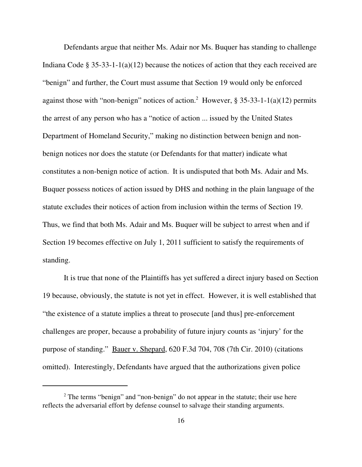Defendants argue that neither Ms. Adair nor Ms. Buquer has standing to challenge Indiana Code § 35-33-1-1(a)(12) because the notices of action that they each received are "benign" and further, the Court must assume that Section 19 would only be enforced against those with "non-benign" notices of action.<sup>2</sup> However,  $\S 35-33-1-1(a)(12)$  permits the arrest of any person who has a "notice of action ... issued by the United States Department of Homeland Security," making no distinction between benign and nonbenign notices nor does the statute (or Defendants for that matter) indicate what constitutes a non-benign notice of action. It is undisputed that both Ms. Adair and Ms. Buquer possess notices of action issued by DHS and nothing in the plain language of the statute excludes their notices of action from inclusion within the terms of Section 19. Thus, we find that both Ms. Adair and Ms. Buquer will be subject to arrest when and if Section 19 becomes effective on July 1, 2011 sufficient to satisfy the requirements of standing.

It is true that none of the Plaintiffs has yet suffered a direct injury based on Section 19 because, obviously, the statute is not yet in effect. However, it is well established that "the existence of a statute implies a threat to prosecute [and thus] pre-enforcement challenges are proper, because a probability of future injury counts as 'injury' for the purpose of standing." Bauer v. Shepard, 620 F.3d 704, 708 (7th Cir. 2010) (citations omitted). Interestingly, Defendants have argued that the authorizations given police

 $2^2$  The terms "benign" and "non-benign" do not appear in the statute; their use here reflects the adversarial effort by defense counsel to salvage their standing arguments.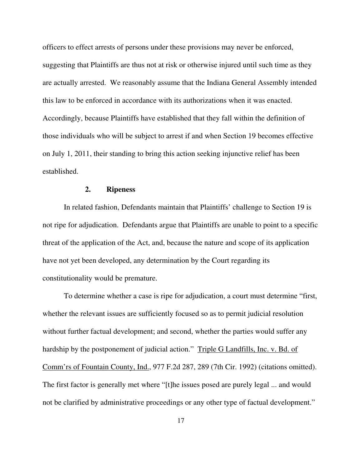officers to effect arrests of persons under these provisions may never be enforced, suggesting that Plaintiffs are thus not at risk or otherwise injured until such time as they are actually arrested. We reasonably assume that the Indiana General Assembly intended this law to be enforced in accordance with its authorizations when it was enacted. Accordingly, because Plaintiffs have established that they fall within the definition of those individuals who will be subject to arrest if and when Section 19 becomes effective on July 1, 2011, their standing to bring this action seeking injunctive relief has been established.

### **2. Ripeness**

In related fashion, Defendants maintain that Plaintiffs' challenge to Section 19 is not ripe for adjudication. Defendants argue that Plaintiffs are unable to point to a specific threat of the application of the Act, and, because the nature and scope of its application have not yet been developed, any determination by the Court regarding its constitutionality would be premature.

To determine whether a case is ripe for adjudication, a court must determine "first, whether the relevant issues are sufficiently focused so as to permit judicial resolution without further factual development; and second, whether the parties would suffer any hardship by the postponement of judicial action." Triple G Landfills, Inc. v. Bd. of Comm'rs of Fountain County, Ind., 977 F.2d 287, 289 (7th Cir. 1992) (citations omitted). The first factor is generally met where "[t]he issues posed are purely legal ... and would not be clarified by administrative proceedings or any other type of factual development."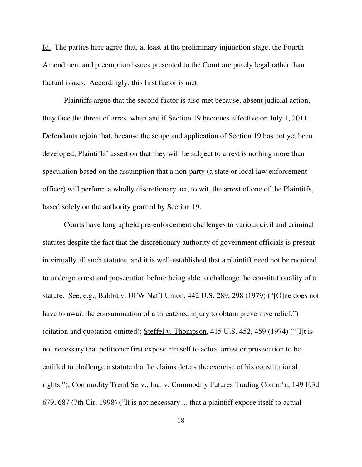Id. The parties here agree that, at least at the preliminary injunction stage, the Fourth Amendment and preemption issues presented to the Court are purely legal rather than factual issues. Accordingly, this first factor is met.

Plaintiffs argue that the second factor is also met because, absent judicial action, they face the threat of arrest when and if Section 19 becomes effective on July 1, 2011. Defendants rejoin that, because the scope and application of Section 19 has not yet been developed, Plaintiffs' assertion that they will be subject to arrest is nothing more than speculation based on the assumption that a non-party (a state or local law enforcement officer) will perform a wholly discretionary act, to wit, the arrest of one of the Plaintiffs, based solely on the authority granted by Section 19.

Courts have long upheld pre-enforcement challenges to various civil and criminal statutes despite the fact that the discretionary authority of government officials is present in virtually all such statutes, and it is well-established that a plaintiff need not be required to undergo arrest and prosecution before being able to challenge the constitutionality of a statute. See, e.g., Babbit v. UFW Nat'l Union, 442 U.S. 289, 298 (1979) ("[O]ne does not have to await the consummation of a threatened injury to obtain preventive relief.") (citation and quotation omitted); Steffel v. Thompson, 415 U.S. 452, 459 (1974) ("[I]t is not necessary that petitioner first expose himself to actual arrest or prosecution to be entitled to challenge a statute that he claims deters the exercise of his constitutional rights."); Commodity Trend Serv., Inc. v. Commodity Futures Trading Comm'n, 149 F.3d 679, 687 (7th Cir. 1998) ("It is not necessary ... that a plaintiff expose itself to actual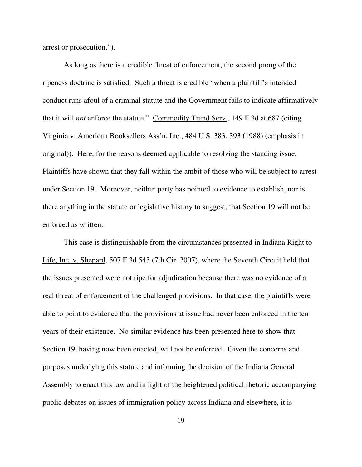arrest or prosecution.").

As long as there is a credible threat of enforcement, the second prong of the ripeness doctrine is satisfied. Such a threat is credible "when a plaintiff's intended conduct runs afoul of a criminal statute and the Government fails to indicate affirmatively that it will *not* enforce the statute." Commodity Trend Serv., 149 F.3d at 687 (citing Virginia v. American Booksellers Ass'n, Inc., 484 U.S. 383, 393 (1988) (emphasis in original)). Here, for the reasons deemed applicable to resolving the standing issue, Plaintiffs have shown that they fall within the ambit of those who will be subject to arrest under Section 19. Moreover, neither party has pointed to evidence to establish, nor is there anything in the statute or legislative history to suggest, that Section 19 will not be enforced as written.

This case is distinguishable from the circumstances presented in Indiana Right to Life, Inc. v. Shepard, 507 F.3d 545 (7th Cir. 2007), where the Seventh Circuit held that the issues presented were not ripe for adjudication because there was no evidence of a real threat of enforcement of the challenged provisions. In that case, the plaintiffs were able to point to evidence that the provisions at issue had never been enforced in the ten years of their existence. No similar evidence has been presented here to show that Section 19, having now been enacted, will not be enforced. Given the concerns and purposes underlying this statute and informing the decision of the Indiana General Assembly to enact this law and in light of the heightened political rhetoric accompanying public debates on issues of immigration policy across Indiana and elsewhere, it is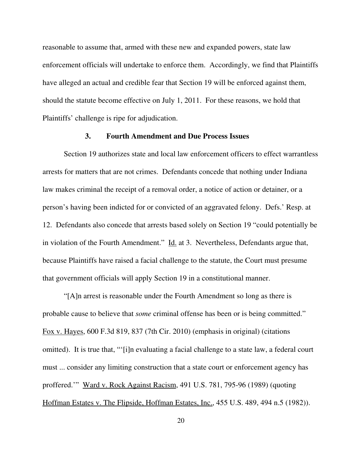reasonable to assume that, armed with these new and expanded powers, state law enforcement officials will undertake to enforce them. Accordingly, we find that Plaintiffs have alleged an actual and credible fear that Section 19 will be enforced against them, should the statute become effective on July 1, 2011. For these reasons, we hold that Plaintiffs' challenge is ripe for adjudication.

## **3. Fourth Amendment and Due Process Issues**

Section 19 authorizes state and local law enforcement officers to effect warrantless arrests for matters that are not crimes. Defendants concede that nothing under Indiana law makes criminal the receipt of a removal order, a notice of action or detainer, or a person's having been indicted for or convicted of an aggravated felony. Defs.' Resp. at 12. Defendants also concede that arrests based solely on Section 19 "could potentially be in violation of the Fourth Amendment." Id. at 3. Nevertheless, Defendants argue that, because Plaintiffs have raised a facial challenge to the statute, the Court must presume that government officials will apply Section 19 in a constitutional manner.

"[A]n arrest is reasonable under the Fourth Amendment so long as there is probable cause to believe that *some* criminal offense has been or is being committed." Fox v. Hayes, 600 F.3d 819, 837 (7th Cir. 2010) (emphasis in original) (citations omitted). It is true that, "'[i]n evaluating a facial challenge to a state law, a federal court must ... consider any limiting construction that a state court or enforcement agency has proffered.'" Ward v. Rock Against Racism, 491 U.S. 781, 795-96 (1989) (quoting Hoffman Estates v. The Flipside, Hoffman Estates, Inc., 455 U.S. 489, 494 n.5 (1982)).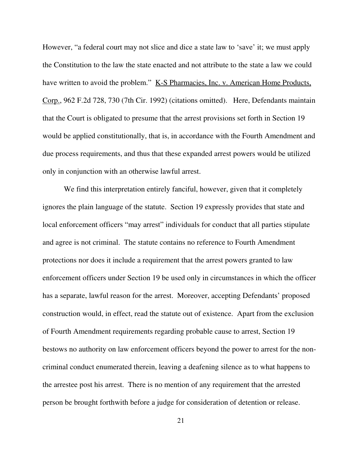However, "a federal court may not slice and dice a state law to 'save' it; we must apply the Constitution to the law the state enacted and not attribute to the state a law we could have written to avoid the problem." K-S Pharmacies, Inc. v. American Home Products, Corp., 962 F.2d 728, 730 (7th Cir. 1992) (citations omitted). Here, Defendants maintain that the Court is obligated to presume that the arrest provisions set forth in Section 19 would be applied constitutionally, that is, in accordance with the Fourth Amendment and due process requirements, and thus that these expanded arrest powers would be utilized only in conjunction with an otherwise lawful arrest.

We find this interpretation entirely fanciful, however, given that it completely ignores the plain language of the statute. Section 19 expressly provides that state and local enforcement officers "may arrest" individuals for conduct that all parties stipulate and agree is not criminal. The statute contains no reference to Fourth Amendment protections nor does it include a requirement that the arrest powers granted to law enforcement officers under Section 19 be used only in circumstances in which the officer has a separate, lawful reason for the arrest. Moreover, accepting Defendants' proposed construction would, in effect, read the statute out of existence. Apart from the exclusion of Fourth Amendment requirements regarding probable cause to arrest, Section 19 bestows no authority on law enforcement officers beyond the power to arrest for the noncriminal conduct enumerated therein, leaving a deafening silence as to what happens to the arrestee post his arrest. There is no mention of any requirement that the arrested person be brought forthwith before a judge for consideration of detention or release.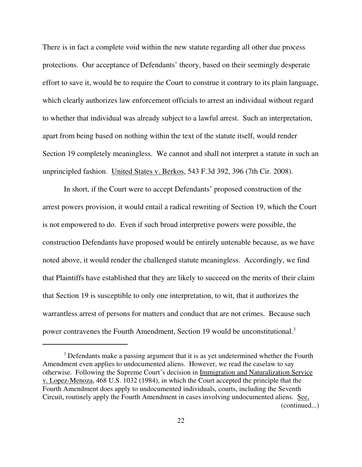There is in fact a complete void within the new statute regarding all other due process protections. Our acceptance of Defendants' theory, based on their seemingly desperate effort to save it, would be to require the Court to construe it contrary to its plain language, which clearly authorizes law enforcement officials to arrest an individual without regard to whether that individual was already subject to a lawful arrest. Such an interpretation, apart from being based on nothing within the text of the statute itself, would render Section 19 completely meaningless. We cannot and shall not interpret a statute in such an unprincipled fashion. United States v. Berkos, 543 F.3d 392, 396 (7th Cir. 2008).

In short, if the Court were to accept Defendants' proposed construction of the arrest powers provision, it would entail a radical rewriting of Section 19, which the Court is not empowered to do. Even if such broad interpretive powers were possible, the construction Defendants have proposed would be entirely untenable because, as we have noted above, it would render the challenged statute meaningless. Accordingly, we find that Plaintiffs have established that they are likely to succeed on the merits of their claim that Section 19 is susceptible to only one interpretation, to wit, that it authorizes the warrantless arrest of persons for matters and conduct that are not crimes. Because such power contravenes the Fourth Amendment, Section 19 would be unconstitutional.<sup>3</sup>

 $3$  Defendants make a passing argument that it is as yet undetermined whether the Fourth Amendment even applies to undocumented aliens. However, we read the caselaw to say otherwise. Following the Supreme Court's decision in Immigration and Naturalization Service v. Lopez-Menoza, 468 U.S. 1032 (1984), in which the Court accepted the principle that the Fourth Amendment does apply to undocumented individuals, courts, including the Seventh Circuit, routinely apply the Fourth Amendment in cases involving undocumented aliens. See, (continued...)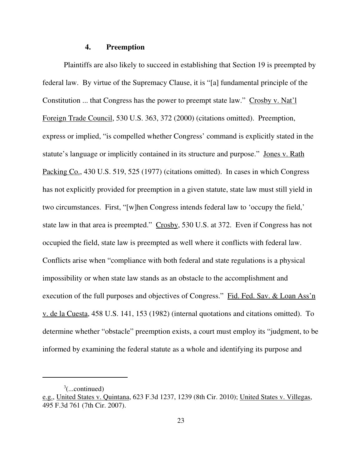#### **4. Preemption**

Plaintiffs are also likely to succeed in establishing that Section 19 is preempted by federal law. By virtue of the Supremacy Clause, it is "[a] fundamental principle of the Constitution ... that Congress has the power to preempt state law." Crosby v. Nat'l Foreign Trade Council, 530 U.S. 363, 372 (2000) (citations omitted). Preemption, express or implied, "is compelled whether Congress' command is explicitly stated in the statute's language or implicitly contained in its structure and purpose." Jones v. Rath Packing Co., 430 U.S. 519, 525 (1977) (citations omitted). In cases in which Congress has not explicitly provided for preemption in a given statute, state law must still yield in two circumstances. First, "[w]hen Congress intends federal law to 'occupy the field,' state law in that area is preempted." Crosby, 530 U.S. at 372. Even if Congress has not occupied the field, state law is preempted as well where it conflicts with federal law. Conflicts arise when "compliance with both federal and state regulations is a physical impossibility or when state law stands as an obstacle to the accomplishment and execution of the full purposes and objectives of Congress." Fid. Fed. Sav. & Loan Ass'n v. de la Cuesta, 458 U.S. 141, 153 (1982) (internal quotations and citations omitted). To determine whether "obstacle" preemption exists, a court must employ its "judgment, to be informed by examining the federal statute as a whole and identifying its purpose and

 $\alpha^3$ (...continued)

e.g., United States v. Quintana, 623 F.3d 1237, 1239 (8th Cir. 2010); United States v. Villegas, 495 F.3d 761 (7th Cir. 2007).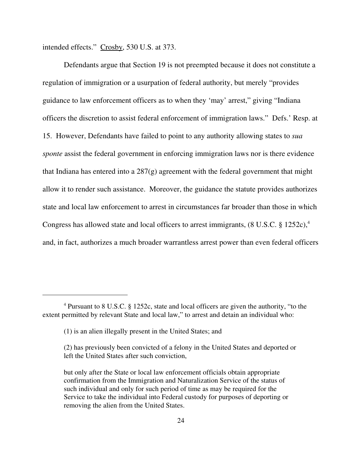intended effects." Crosby, 530 U.S. at 373.

Defendants argue that Section 19 is not preempted because it does not constitute a regulation of immigration or a usurpation of federal authority, but merely "provides guidance to law enforcement officers as to when they 'may' arrest," giving "Indiana officers the discretion to assist federal enforcement of immigration laws." Defs.' Resp. at 15. However, Defendants have failed to point to any authority allowing states to *sua sponte* assist the federal government in enforcing immigration laws nor is there evidence that Indiana has entered into a  $287(g)$  agreement with the federal government that might allow it to render such assistance. Moreover, the guidance the statute provides authorizes state and local law enforcement to arrest in circumstances far broader than those in which Congress has allowed state and local officers to arrest immigrants,  $(8 \text{ U.S.C. } § 1252c)$ ,<sup>4</sup> and, in fact, authorizes a much broader warrantless arrest power than even federal officers

<sup>&</sup>lt;sup>4</sup> Pursuant to 8 U.S.C. § 1252c, state and local officers are given the authority, "to the extent permitted by relevant State and local law," to arrest and detain an individual who:

<sup>(1)</sup> is an alien illegally present in the United States; and

<sup>(2)</sup> has previously been convicted of a felony in the United States and deported or left the United States after such conviction,

but only after the State or local law enforcement officials obtain appropriate confirmation from the Immigration and Naturalization Service of the status of such individual and only for such period of time as may be required for the Service to take the individual into Federal custody for purposes of deporting or removing the alien from the United States.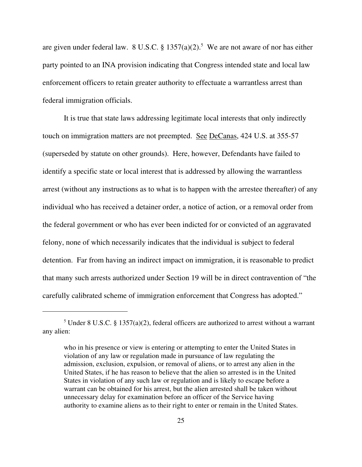are given under federal law. 8 U.S.C.  $\S 1357(a)(2)$ .<sup>5</sup> We are not aware of nor has either party pointed to an INA provision indicating that Congress intended state and local law enforcement officers to retain greater authority to effectuate a warrantless arrest than federal immigration officials.

It is true that state laws addressing legitimate local interests that only indirectly touch on immigration matters are not preempted. See DeCanas, 424 U.S. at 355-57 (superseded by statute on other grounds). Here, however, Defendants have failed to identify a specific state or local interest that is addressed by allowing the warrantless arrest (without any instructions as to what is to happen with the arrestee thereafter) of any individual who has received a detainer order, a notice of action, or a removal order from the federal government or who has ever been indicted for or convicted of an aggravated felony, none of which necessarily indicates that the individual is subject to federal detention. Far from having an indirect impact on immigration, it is reasonable to predict that many such arrests authorized under Section 19 will be in direct contravention of "the carefully calibrated scheme of immigration enforcement that Congress has adopted."

<sup>&</sup>lt;sup>5</sup> Under 8 U.S.C. § 1357(a)(2), federal officers are authorized to arrest without a warrant any alien:

who in his presence or view is entering or attempting to enter the United States in violation of any law or regulation made in pursuance of law regulating the admission, exclusion, expulsion, or removal of aliens, or to arrest any alien in the United States, if he has reason to believe that the alien so arrested is in the United States in violation of any such law or regulation and is likely to escape before a warrant can be obtained for his arrest, but the alien arrested shall be taken without unnecessary delay for examination before an officer of the Service having authority to examine aliens as to their right to enter or remain in the United States.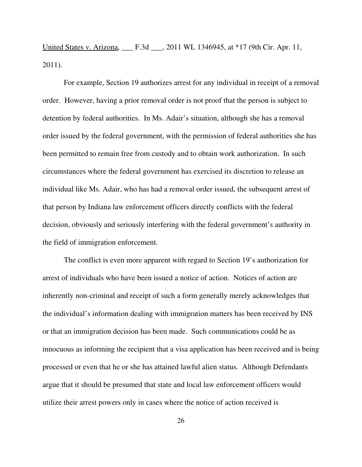United States v. Arizona, \_\_\_ F.3d \_\_\_, 2011 WL 1346945, at \*17 (9th Cir. Apr. 11, 2011).

For example, Section 19 authorizes arrest for any individual in receipt of a removal order. However, having a prior removal order is not proof that the person is subject to detention by federal authorities. In Ms. Adair's situation, although she has a removal order issued by the federal government, with the permission of federal authorities she has been permitted to remain free from custody and to obtain work authorization. In such circumstances where the federal government has exercised its discretion to release an individual like Ms. Adair, who has had a removal order issued, the subsequent arrest of that person by Indiana law enforcement officers directly conflicts with the federal decision, obviously and seriously interfering with the federal government's authority in the field of immigration enforcement.

The conflict is even more apparent with regard to Section 19's authorization for arrest of individuals who have been issued a notice of action. Notices of action are inherently non-criminal and receipt of such a form generally merely acknowledges that the individual's information dealing with immigration matters has been received by INS or that an immigration decision has been made. Such communications could be as innocuous as informing the recipient that a visa application has been received and is being processed or even that he or she has attained lawful alien status. Although Defendants argue that it should be presumed that state and local law enforcement officers would utilize their arrest powers only in cases where the notice of action received is

26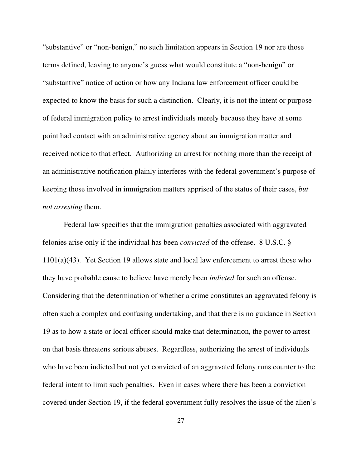"substantive" or "non-benign," no such limitation appears in Section 19 nor are those terms defined, leaving to anyone's guess what would constitute a "non-benign" or "substantive" notice of action or how any Indiana law enforcement officer could be expected to know the basis for such a distinction. Clearly, it is not the intent or purpose of federal immigration policy to arrest individuals merely because they have at some point had contact with an administrative agency about an immigration matter and received notice to that effect. Authorizing an arrest for nothing more than the receipt of an administrative notification plainly interferes with the federal government's purpose of keeping those involved in immigration matters apprised of the status of their cases, *but not arresting* them.

Federal law specifies that the immigration penalties associated with aggravated felonies arise only if the individual has been *convicted* of the offense. 8 U.S.C. § 1101(a)(43). Yet Section 19 allows state and local law enforcement to arrest those who they have probable cause to believe have merely been *indicted* for such an offense. Considering that the determination of whether a crime constitutes an aggravated felony is often such a complex and confusing undertaking, and that there is no guidance in Section 19 as to how a state or local officer should make that determination, the power to arrest on that basis threatens serious abuses. Regardless, authorizing the arrest of individuals who have been indicted but not yet convicted of an aggravated felony runs counter to the federal intent to limit such penalties. Even in cases where there has been a conviction covered under Section 19, if the federal government fully resolves the issue of the alien's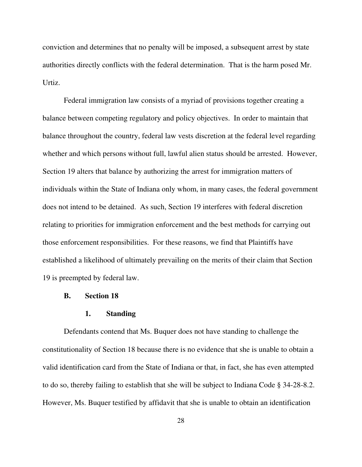conviction and determines that no penalty will be imposed, a subsequent arrest by state authorities directly conflicts with the federal determination. That is the harm posed Mr. Urtiz.

Federal immigration law consists of a myriad of provisions together creating a balance between competing regulatory and policy objectives. In order to maintain that balance throughout the country, federal law vests discretion at the federal level regarding whether and which persons without full, lawful alien status should be arrested. However, Section 19 alters that balance by authorizing the arrest for immigration matters of individuals within the State of Indiana only whom, in many cases, the federal government does not intend to be detained. As such, Section 19 interferes with federal discretion relating to priorities for immigration enforcement and the best methods for carrying out those enforcement responsibilities. For these reasons, we find that Plaintiffs have established a likelihood of ultimately prevailing on the merits of their claim that Section 19 is preempted by federal law.

#### **B. Section 18**

#### **1. Standing**

Defendants contend that Ms. Buquer does not have standing to challenge the constitutionality of Section 18 because there is no evidence that she is unable to obtain a valid identification card from the State of Indiana or that, in fact, she has even attempted to do so, thereby failing to establish that she will be subject to Indiana Code § 34-28-8.2. However, Ms. Buquer testified by affidavit that she is unable to obtain an identification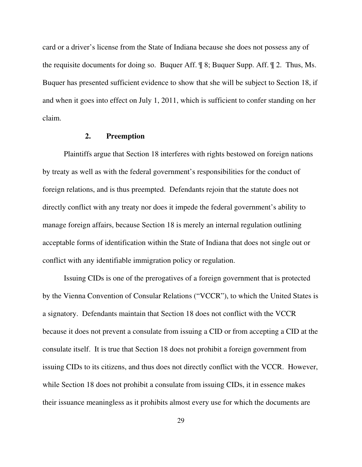card or a driver's license from the State of Indiana because she does not possess any of the requisite documents for doing so. Buquer Aff. ¶ 8; Buquer Supp. Aff. ¶ 2. Thus, Ms. Buquer has presented sufficient evidence to show that she will be subject to Section 18, if and when it goes into effect on July 1, 2011, which is sufficient to confer standing on her claim.

### **2. Preemption**

Plaintiffs argue that Section 18 interferes with rights bestowed on foreign nations by treaty as well as with the federal government's responsibilities for the conduct of foreign relations, and is thus preempted. Defendants rejoin that the statute does not directly conflict with any treaty nor does it impede the federal government's ability to manage foreign affairs, because Section 18 is merely an internal regulation outlining acceptable forms of identification within the State of Indiana that does not single out or conflict with any identifiable immigration policy or regulation.

Issuing CIDs is one of the prerogatives of a foreign government that is protected by the Vienna Convention of Consular Relations ("VCCR"), to which the United States is a signatory. Defendants maintain that Section 18 does not conflict with the VCCR because it does not prevent a consulate from issuing a CID or from accepting a CID at the consulate itself. It is true that Section 18 does not prohibit a foreign government from issuing CIDs to its citizens, and thus does not directly conflict with the VCCR. However, while Section 18 does not prohibit a consulate from issuing CIDs, it in essence makes their issuance meaningless as it prohibits almost every use for which the documents are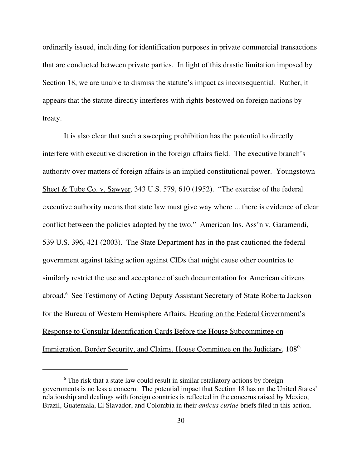ordinarily issued, including for identification purposes in private commercial transactions that are conducted between private parties. In light of this drastic limitation imposed by Section 18, we are unable to dismiss the statute's impact as inconsequential. Rather, it appears that the statute directly interferes with rights bestowed on foreign nations by treaty.

It is also clear that such a sweeping prohibition has the potential to directly interfere with executive discretion in the foreign affairs field. The executive branch's authority over matters of foreign affairs is an implied constitutional power. Youngstown Sheet & Tube Co. v. Sawyer, 343 U.S. 579, 610 (1952). "The exercise of the federal executive authority means that state law must give way where ... there is evidence of clear conflict between the policies adopted by the two." American Ins. Ass'n v. Garamendi, 539 U.S. 396, 421 (2003). The State Department has in the past cautioned the federal government against taking action against CIDs that might cause other countries to similarly restrict the use and acceptance of such documentation for American citizens abroad.<sup>6</sup> See Testimony of Acting Deputy Assistant Secretary of State Roberta Jackson for the Bureau of Western Hemisphere Affairs, Hearing on the Federal Government's Response to Consular Identification Cards Before the House Subcommittee on Immigration, Border Security, and Claims, House Committee on the Judiciary, 108<sup>th</sup>

<sup>&</sup>lt;sup>6</sup> The risk that a state law could result in similar retaliatory actions by foreign governments is no less a concern. The potential impact that Section 18 has on the United States' relationship and dealings with foreign countries is reflected in the concerns raised by Mexico, Brazil, Guatemala, El Slavador, and Colombia in their *amicus curiae* briefs filed in this action.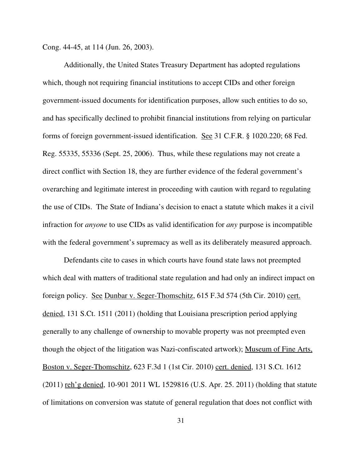Cong. 44-45, at 114 (Jun. 26, 2003).

Additionally, the United States Treasury Department has adopted regulations which, though not requiring financial institutions to accept CIDs and other foreign government-issued documents for identification purposes, allow such entities to do so, and has specifically declined to prohibit financial institutions from relying on particular forms of foreign government-issued identification. See 31 C.F.R. § 1020.220; 68 Fed. Reg. 55335, 55336 (Sept. 25, 2006). Thus, while these regulations may not create a direct conflict with Section 18, they are further evidence of the federal government's overarching and legitimate interest in proceeding with caution with regard to regulating the use of CIDs. The State of Indiana's decision to enact a statute which makes it a civil infraction for *anyone* to use CIDs as valid identification for *any* purpose is incompatible with the federal government's supremacy as well as its deliberately measured approach.

Defendants cite to cases in which courts have found state laws not preempted which deal with matters of traditional state regulation and had only an indirect impact on foreign policy. See Dunbar v. Seger-Thomschitz, 615 F.3d 574 (5th Cir. 2010) cert. denied, 131 S.Ct. 1511 (2011) (holding that Louisiana prescription period applying generally to any challenge of ownership to movable property was not preempted even though the object of the litigation was Nazi-confiscated artwork); Museum of Fine Arts, Boston v. Seger-Thomschitz, 623 F.3d 1 (1st Cir. 2010) cert. denied, 131 S.Ct. 1612 (2011) reh'g denied, 10-901 2011 WL 1529816 (U.S. Apr. 25. 2011) (holding that statute of limitations on conversion was statute of general regulation that does not conflict with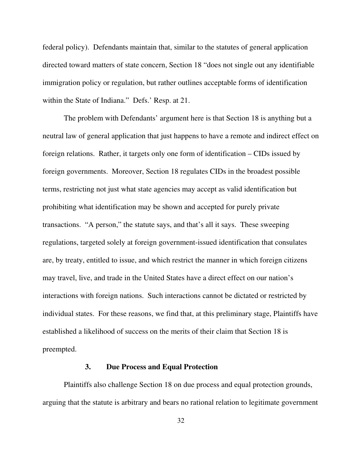federal policy). Defendants maintain that, similar to the statutes of general application directed toward matters of state concern, Section 18 "does not single out any identifiable immigration policy or regulation, but rather outlines acceptable forms of identification within the State of Indiana." Defs.' Resp. at 21.

The problem with Defendants' argument here is that Section 18 is anything but a neutral law of general application that just happens to have a remote and indirect effect on foreign relations. Rather, it targets only one form of identification – CIDs issued by foreign governments. Moreover, Section 18 regulates CIDs in the broadest possible terms, restricting not just what state agencies may accept as valid identification but prohibiting what identification may be shown and accepted for purely private transactions. "A person," the statute says, and that's all it says. These sweeping regulations, targeted solely at foreign government-issued identification that consulates are, by treaty, entitled to issue, and which restrict the manner in which foreign citizens may travel, live, and trade in the United States have a direct effect on our nation's interactions with foreign nations. Such interactions cannot be dictated or restricted by individual states. For these reasons, we find that, at this preliminary stage, Plaintiffs have established a likelihood of success on the merits of their claim that Section 18 is preempted.

### **3. Due Process and Equal Protection**

Plaintiffs also challenge Section 18 on due process and equal protection grounds, arguing that the statute is arbitrary and bears no rational relation to legitimate government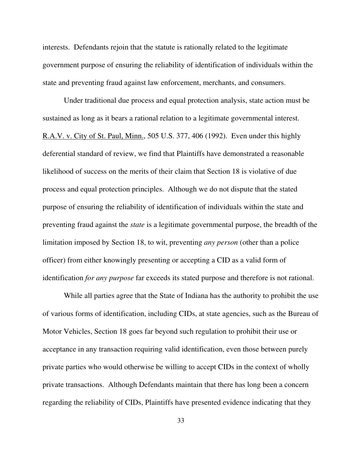interests. Defendants rejoin that the statute is rationally related to the legitimate government purpose of ensuring the reliability of identification of individuals within the state and preventing fraud against law enforcement, merchants, and consumers.

Under traditional due process and equal protection analysis, state action must be sustained as long as it bears a rational relation to a legitimate governmental interest. R.A.V. v. City of St. Paul, Minn., 505 U.S. 377, 406 (1992). Even under this highly deferential standard of review, we find that Plaintiffs have demonstrated a reasonable likelihood of success on the merits of their claim that Section 18 is violative of due process and equal protection principles. Although we do not dispute that the stated purpose of ensuring the reliability of identification of individuals within the state and preventing fraud against the *state* is a legitimate governmental purpose, the breadth of the limitation imposed by Section 18, to wit, preventing *any person* (other than a police officer) from either knowingly presenting or accepting a CID as a valid form of identification *for any purpose* far exceeds its stated purpose and therefore is not rational.

While all parties agree that the State of Indiana has the authority to prohibit the use of various forms of identification, including CIDs, at state agencies, such as the Bureau of Motor Vehicles, Section 18 goes far beyond such regulation to prohibit their use or acceptance in any transaction requiring valid identification, even those between purely private parties who would otherwise be willing to accept CIDs in the context of wholly private transactions. Although Defendants maintain that there has long been a concern regarding the reliability of CIDs, Plaintiffs have presented evidence indicating that they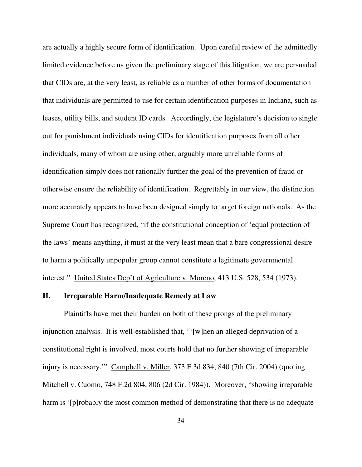are actually a highly secure form of identification. Upon careful review of the admittedly limited evidence before us given the preliminary stage of this litigation, we are persuaded that CIDs are, at the very least, as reliable as a number of other forms of documentation that individuals are permitted to use for certain identification purposes in Indiana, such as leases, utility bills, and student ID cards. Accordingly, the legislature's decision to single out for punishment individuals using CIDs for identification purposes from all other individuals, many of whom are using other, arguably more unreliable forms of identification simply does not rationally further the goal of the prevention of fraud or otherwise ensure the reliability of identification. Regrettably in our view, the distinction more accurately appears to have been designed simply to target foreign nationals. As the Supreme Court has recognized, "if the constitutional conception of 'equal protection of the laws' means anything, it must at the very least mean that a bare congressional desire to harm a politically unpopular group cannot constitute a legitimate governmental interest." United States Dep't of Agriculture v. Moreno, 413 U.S. 528, 534 (1973).

### **II. Irreparable Harm/Inadequate Remedy at Law**

Plaintiffs have met their burden on both of these prongs of the preliminary injunction analysis. It is well-established that, "'[w]hen an alleged deprivation of a constitutional right is involved, most courts hold that no further showing of irreparable injury is necessary.'" Campbell v. Miller, 373 F.3d 834, 840 (7th Cir. 2004) (quoting Mitchell v. Cuomo, 748 F.2d 804, 806 (2d Cir. 1984)). Moreover, "showing irreparable harm is '[p]robably the most common method of demonstrating that there is no adequate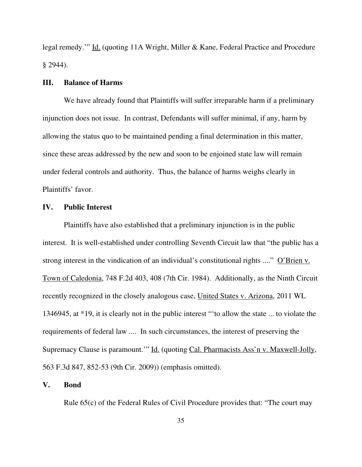legal remedy.'" Id. (quoting 11A Wright, Miller & Kane, Federal Practice and Procedure § 2944).

### **III. Balance of Harms**

We have already found that Plaintiffs will suffer irreparable harm if a preliminary injunction does not issue. In contrast, Defendants will suffer minimal, if any, harm by allowing the status quo to be maintained pending a final determination in this matter, since these areas addressed by the new and soon to be enjoined state law will remain under federal controls and authority. Thus, the balance of harms weighs clearly in Plaintiffs' favor.

#### **IV. Public Interest**

Plaintiffs have also established that a preliminary injunction is in the public interest. It is well-established under controlling Seventh Circuit law that "the public has a strong interest in the vindication of an individual's constitutional rights ...." O'Brien v. Town of Caledonia, 748 F.2d 403, 408 (7th Cir. 1984). Additionally, as the Ninth Circuit recently recognized in the closely analogous case, United States v. Arizona, 2011 WL 1346945, at \*19, it is clearly not in the public interest "'to allow the state ... to violate the requirements of federal law .... In such circumstances, the interest of preserving the Supremacy Clause is paramount.'" Id. (quoting Cal. Pharmacists Ass'n v. Maxwell-Jolly, 563 F.3d 847, 852-53 (9th Cir. 2009)) (emphasis omitted).

#### **V. Bond**

Rule 65(c) of the Federal Rules of Civil Procedure provides that: "The court may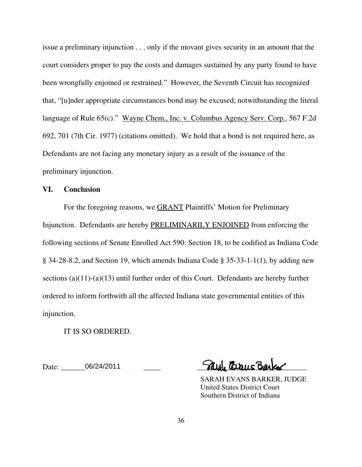issue a preliminary injunction . . . only if the movant gives security in an amount that the court considers proper to pay the costs and damages sustained by any party found to have been wrongfully enjoined or restrained." However, the Seventh Circuit has recognized that, "[u]nder appropriate circumstances bond may be excused, notwithstanding the literal language of Rule 65(c)." Wayne Chem., Inc. v. Columbus Agency Serv. Corp., 567 F.2d 692, 701 (7th Cir. 1977) (citations omitted). We hold that a bond is not required here, as Defendants are not facing any monetary injury as a result of the issuance of the preliminary injunction.

# **VI. Conclusion**

For the foregoing reasons, we GRANT Plaintiffs' Motion for Preliminary Injunction. Defendants are hereby PRELIMINARILY ENJOINED from enforcing the following sections of Senate Enrolled Act 590: Section 18, to be codified as Indiana Code § 34-28-8.2, and Section 19, which amends Indiana Code § 35-33-1-1(1), by adding new sections  $(a)(11)-(a)(13)$  until further order of this Court. Defendants are hereby further ordered to inform forthwith all the affected Indiana state governmental entities of this injunction.

IT IS SO ORDERED.

 $\Box$  Date:  $06/24/2011$   $\alpha$   $\alpha$   $\alpha$   $\alpha$   $\alpha$   $\alpha$ 

 SARAH EVANS BARKER, JUDGE United States District Court Southern District of Indiana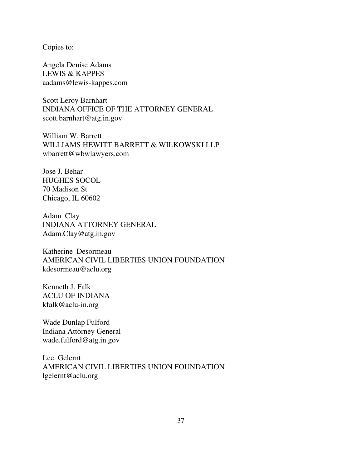Copies to:

Angela Denise Adams LEWIS & KAPPES aadams@lewis-kappes.com

Scott Leroy Barnhart INDIANA OFFICE OF THE ATTORNEY GENERAL scott.barnhart@atg.in.gov

William W. Barrett WILLIAMS HEWITT BARRETT & WILKOWSKI LLP wbarrett@wbwlawyers.com

Jose J. Behar HUGHES SOCOL 70 Madison St Chicago, IL 60602

Adam Clay INDIANA ATTORNEY GENERAL Adam.Clay@atg.in.gov

Katherine Desormeau AMERICAN CIVIL LIBERTIES UNION FOUNDATION kdesormeau@aclu.org

Kenneth J. Falk ACLU OF INDIANA kfalk@aclu-in.org

Wade Dunlap Fulford Indiana Attorney General wade.fulford@atg.in.gov

Lee Gelernt AMERICAN CIVIL LIBERTIES UNION FOUNDATION lgelernt@aclu.org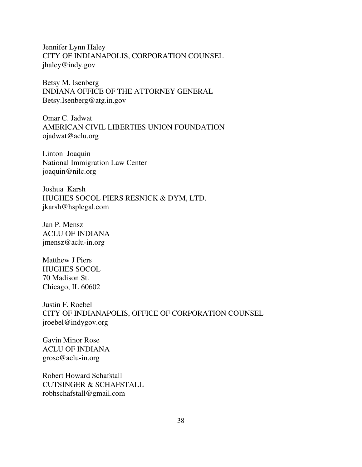Jennifer Lynn Haley CITY OF INDIANAPOLIS, CORPORATION COUNSEL jhaley@indy.gov

Betsy M. Isenberg INDIANA OFFICE OF THE ATTORNEY GENERAL Betsy.Isenberg@atg.in.gov

Omar C. Jadwat AMERICAN CIVIL LIBERTIES UNION FOUNDATION ojadwat@aclu.org

Linton Joaquin National Immigration Law Center joaquin@nilc.org

Joshua Karsh HUGHES SOCOL PIERS RESNICK & DYM, LTD. jkarsh@hsplegal.com

Jan P. Mensz ACLU OF INDIANA jmensz@aclu-in.org

Matthew J Piers HUGHES SOCOL 70 Madison St. Chicago, IL 60602

Justin F. Roebel CITY OF INDIANAPOLIS, OFFICE OF CORPORATION COUNSEL jroebel@indygov.org

Gavin Minor Rose ACLU OF INDIANA grose@aclu-in.org

Robert Howard Schafstall CUTSINGER & SCHAFSTALL robhschafstall@gmail.com